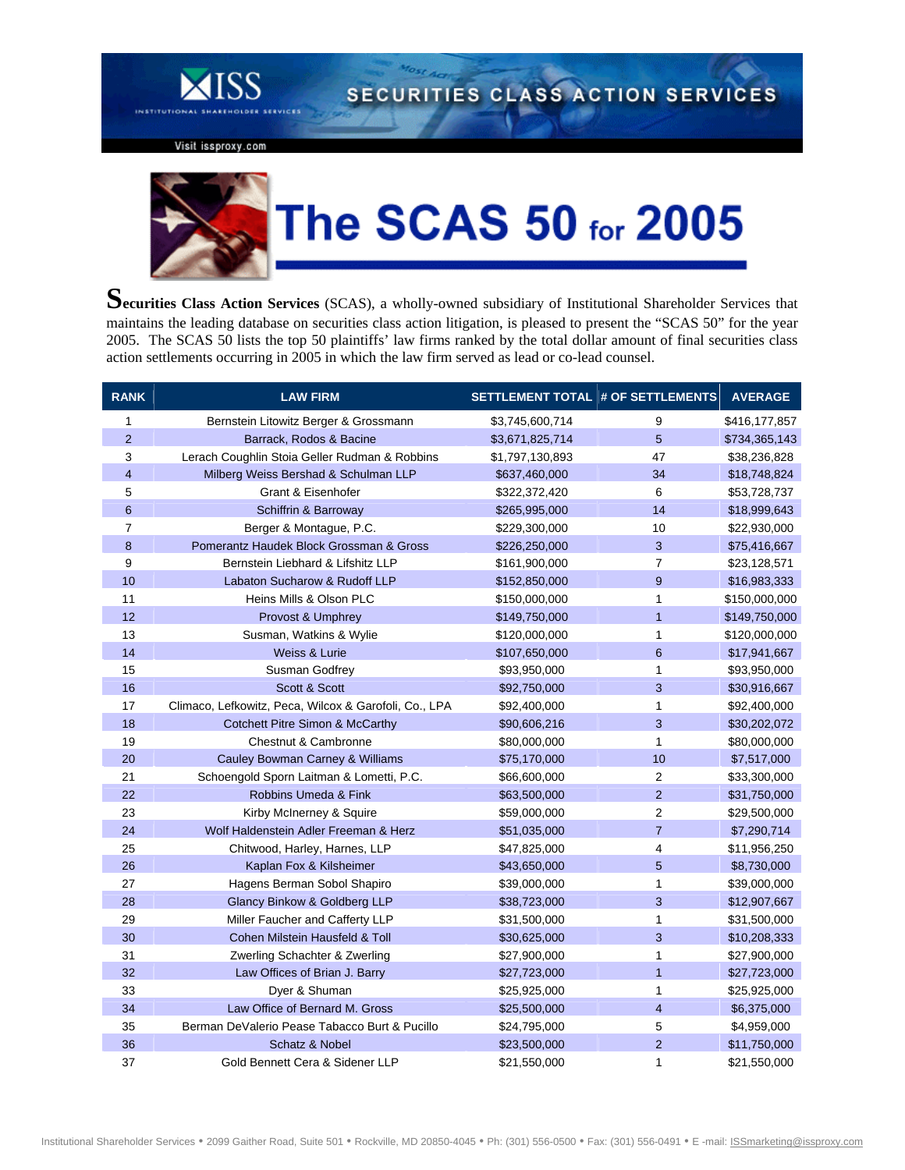

SECURITIES CLASS ACTION SERVICES

Visit issproxy.com



MOSE AL

**Securities Class Action Services** (SCAS), a wholly-owned subsidiary of Institutional Shareholder Services that maintains the leading database on securities class action litigation, is pleased to present the "SCAS 50" for the year 2005. The SCAS 50 lists the top 50 plaintiffs' law firms ranked by the total dollar amount of final securities class action settlements occurring in 2005 in which the law firm served as lead or co-lead counsel.

| <b>RANK</b>    | <b>LAW FIRM</b>                                                        | <b>SETTLEMENT TOTAL # OF SETTLEMENTS</b> |                         | <b>AVERAGE</b> |
|----------------|------------------------------------------------------------------------|------------------------------------------|-------------------------|----------------|
| 1              | Bernstein Litowitz Berger & Grossmann                                  | \$3,745,600,714                          | 9                       | \$416,177,857  |
| $\overline{2}$ | Barrack, Rodos & Bacine                                                | \$3,671,825,714                          | 5                       | \$734,365,143  |
| 3              | Lerach Coughlin Stoia Geller Rudman & Robbins<br>\$1,797,130,893<br>47 |                                          | \$38,236,828            |                |
| $\overline{4}$ | Milberg Weiss Bershad & Schulman LLP                                   | \$637,460,000                            | 34                      | \$18,748,824   |
| 5              | Grant & Eisenhofer                                                     | \$322,372,420                            | 6                       | \$53,728,737   |
| $6\phantom{1}$ | Schiffrin & Barroway                                                   | \$265,995,000                            | 14                      | \$18,999,643   |
| 7              | Berger & Montague, P.C.<br>\$229,300,000<br>10                         |                                          |                         | \$22,930,000   |
| 8              | Pomerantz Haudek Block Grossman & Gross                                | \$226,250,000                            | 3                       | \$75,416,667   |
| 9              | Bernstein Liebhard & Lifshitz LLP                                      | \$161,900,000                            | 7                       | \$23,128,571   |
| 10             | Labaton Sucharow & Rudoff LLP                                          | \$152,850,000                            | 9                       | \$16,983,333   |
| 11             | Heins Mills & Olson PLC                                                | 1<br>\$150,000,000                       |                         | \$150,000,000  |
| 12             | Provost & Umphrey                                                      | \$149,750,000                            | $\mathbf{1}$            | \$149,750,000  |
| 13             | Susman, Watkins & Wylie                                                | \$120,000,000                            | 1                       | \$120,000,000  |
| 14             | Weiss & Lurie                                                          | \$107,650,000                            | 6                       | \$17,941,667   |
| 15             | Susman Godfrey                                                         | \$93,950,000                             | 1                       | \$93,950,000   |
| 16             | Scott & Scott                                                          | \$92,750,000                             | 3                       | \$30,916,667   |
| 17             | Climaco, Lefkowitz, Peca, Wilcox & Garofoli, Co., LPA                  | \$92,400,000                             | 1                       | \$92,400,000   |
| 18             | <b>Cotchett Pitre Simon &amp; McCarthy</b>                             | \$90,606,216                             | 3                       | \$30,202,072   |
| 19             | <b>Chestnut &amp; Cambronne</b>                                        | \$80,000,000                             | $\mathbf{1}$            | \$80,000,000   |
| 20             | Cauley Bowman Carney & Williams                                        | \$75,170,000                             | 10                      | \$7,517,000    |
| 21             | Schoengold Sporn Laitman & Lometti, P.C.                               | \$66,600,000                             | $\overline{2}$          | \$33,300,000   |
| 22             | Robbins Umeda & Fink                                                   | \$63,500,000                             | $\overline{2}$          | \$31,750,000   |
| 23             | Kirby McInerney & Squire                                               | \$59,000,000                             | $\overline{2}$          | \$29,500,000   |
| 24             | Wolf Haldenstein Adler Freeman & Herz                                  | \$51,035,000                             | $\overline{7}$          | \$7,290,714    |
| 25             | Chitwood, Harley, Harnes, LLP                                          | \$47,825,000                             | 4                       | \$11,956,250   |
| 26             | Kaplan Fox & Kilsheimer                                                | \$43,650,000                             | 5                       | \$8,730,000    |
| 27             | Hagens Berman Sobol Shapiro                                            | \$39,000,000                             | 1                       | \$39,000,000   |
| 28             | Glancy Binkow & Goldberg LLP                                           | \$38,723,000                             | 3                       | \$12,907,667   |
| 29             | Miller Faucher and Cafferty LLP                                        | \$31,500,000                             | $\mathbf{1}$            | \$31,500,000   |
| 30             | Cohen Milstein Hausfeld & Toll                                         | \$30,625,000                             | 3                       | \$10,208,333   |
| 31             | Zwerling Schachter & Zwerling                                          | \$27,900,000                             | 1                       | \$27,900,000   |
| 32             | Law Offices of Brian J. Barry                                          | \$27,723,000                             | $\overline{1}$          | \$27,723,000   |
| 33             | Dyer & Shuman                                                          | \$25,925,000                             | 1                       | \$25,925,000   |
| 34             | Law Office of Bernard M. Gross                                         | \$25,500,000                             | $\overline{\mathbf{4}}$ | \$6,375,000    |
| 35             | Berman DeValerio Pease Tabacco Burt & Pucillo                          | \$24,795,000                             | 5                       | \$4,959,000    |
| 36             | Schatz & Nobel                                                         | \$23,500,000                             | $\overline{2}$          | \$11,750,000   |
| 37             | Gold Bennett Cera & Sidener LLP                                        | \$21,550,000                             | 1                       | \$21,550,000   |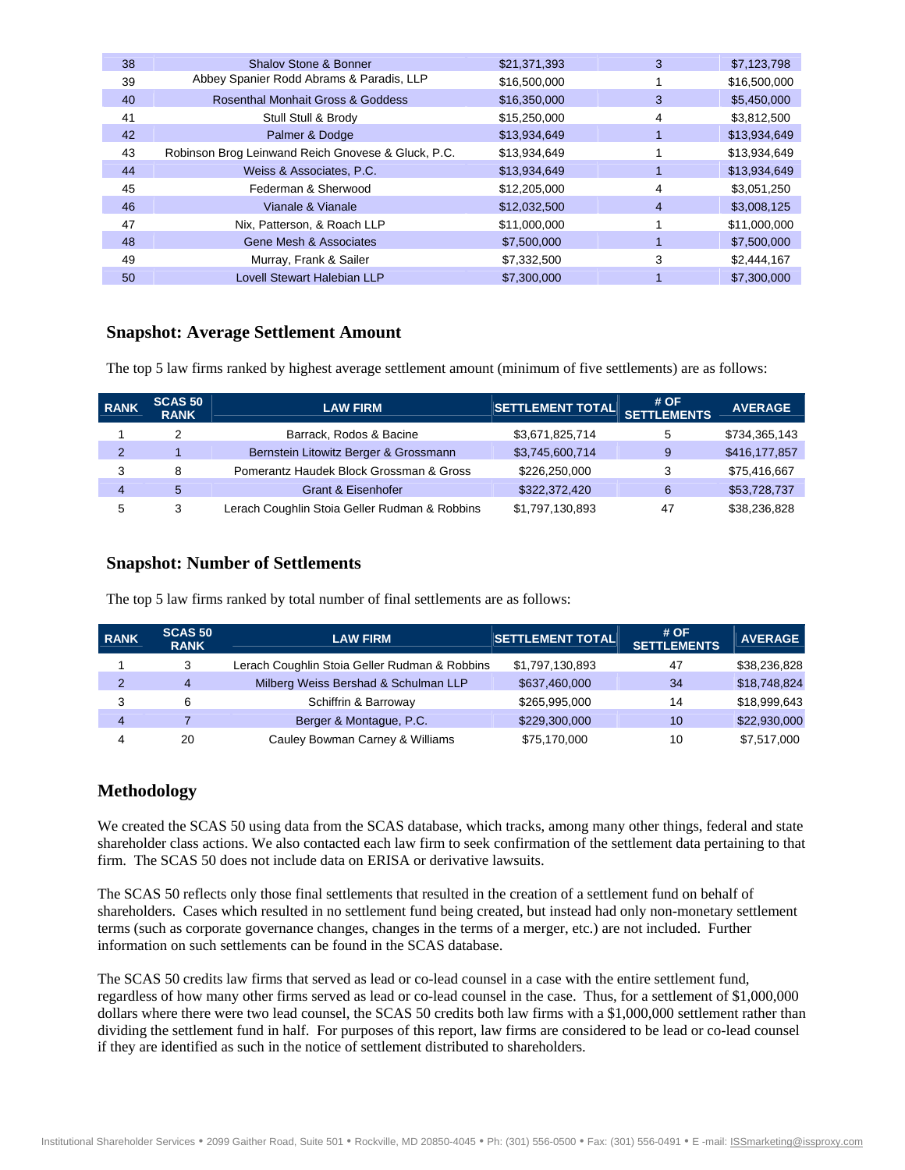| 38 | Shalov Stone & Bonner                              | \$21,371,393 | 3 | \$7,123,798  |
|----|----------------------------------------------------|--------------|---|--------------|
| 39 | Abbey Spanier Rodd Abrams & Paradis, LLP           | \$16,500,000 |   | \$16,500,000 |
| 40 | <b>Rosenthal Monhait Gross &amp; Goddess</b>       | \$16,350,000 | 3 | \$5,450,000  |
| 41 | Stull Stull & Brody                                | \$15,250,000 | 4 | \$3,812,500  |
| 42 | Palmer & Dodge                                     | \$13,934,649 |   | \$13,934,649 |
| 43 | Robinson Brog Leinwand Reich Gnovese & Gluck, P.C. | \$13,934,649 |   | \$13,934,649 |
| 44 | Weiss & Associates, P.C.                           | \$13,934,649 |   | \$13,934,649 |
| 45 | Federman & Sherwood                                | \$12,205,000 | 4 | \$3,051,250  |
| 46 | Vianale & Vianale                                  | \$12,032,500 | 4 | \$3,008,125  |
| 47 | Nix, Patterson, & Roach LLP                        | \$11,000,000 |   | \$11,000,000 |
| 48 | Gene Mesh & Associates                             | \$7,500,000  |   | \$7,500,000  |
| 49 | Murray, Frank & Sailer                             | \$7,332,500  | 3 | \$2,444,167  |
| 50 | Lovell Stewart Halebian LLP                        | \$7,300,000  |   | \$7,300,000  |

## **Snapshot: Average Settlement Amount**

The top 5 law firms ranked by highest average settlement amount (minimum of five settlements) are as follows:

| <b>RANK</b> | <b>SCAS 50</b><br><b>RANK</b> | <b>LAW FIRM</b>                               | <b>SETTLEMENT TOTAL</b> | # OF<br><b>SETTLEMENTS</b> | <b>AVERAGE</b> |
|-------------|-------------------------------|-----------------------------------------------|-------------------------|----------------------------|----------------|
|             |                               | Barrack, Rodos & Bacine                       | \$3,671,825,714         | 5                          | \$734,365,143  |
| 2           |                               | Bernstein Litowitz Berger & Grossmann         | \$3,745,600,714         | 9                          | \$416,177,857  |
| 3           | 8                             | Pomerantz Haudek Block Grossman & Gross       | \$226,250,000           | 3                          | \$75,416,667   |
| 4           | 5                             | Grant & Eisenhofer                            | \$322,372,420           | 6                          | \$53,728,737   |
| 5           | 3                             | Lerach Coughlin Stoia Geller Rudman & Robbins | \$1,797,130,893         | 47                         | \$38,236,828   |

## **Snapshot: Number of Settlements**

The top 5 law firms ranked by total number of final settlements are as follows:

| <b>RANK</b> | <b>SCAS 50</b><br><b>RANK</b> | <b>LAW FIRM</b>                               | <b>SETTLEMENT TOTAL</b> | # OF<br><b>SETTLEMENTS</b> | <b>AVERAGE</b> |
|-------------|-------------------------------|-----------------------------------------------|-------------------------|----------------------------|----------------|
|             |                               | Lerach Coughlin Stoia Geller Rudman & Robbins | \$1,797,130,893         | 47                         | \$38,236,828   |
| 2           | $\overline{4}$                | Milberg Weiss Bershad & Schulman LLP          | \$637,460,000           | 34                         | \$18,748,824   |
| 3           | 6                             | Schiffrin & Barroway                          | \$265,995,000           | 14                         | \$18,999,643   |
| 4           |                               | Berger & Montague, P.C.                       | \$229,300,000           | 10                         | \$22,930,000   |
|             | 20                            | Cauley Bowman Carney & Williams               | \$75,170,000            | 10                         | \$7,517,000    |

## **Methodology**

We created the SCAS 50 using data from the SCAS database, which tracks, among many other things, federal and state shareholder class actions. We also contacted each law firm to seek confirmation of the settlement data pertaining to that firm. The SCAS 50 does not include data on ERISA or derivative lawsuits.

The SCAS 50 reflects only those final settlements that resulted in the creation of a settlement fund on behalf of shareholders. Cases which resulted in no settlement fund being created, but instead had only non-monetary settlement terms (such as corporate governance changes, changes in the terms of a merger, etc.) are not included. Further information on such settlements can be found in the SCAS database.

The SCAS 50 credits law firms that served as lead or co-lead counsel in a case with the entire settlement fund, regardless of how many other firms served as lead or co-lead counsel in the case. Thus, for a settlement of \$1,000,000 dollars where there were two lead counsel, the SCAS 50 credits both law firms with a \$1,000,000 settlement rather than dividing the settlement fund in half. For purposes of this report, law firms are considered to be lead or co-lead counsel if they are identified as such in the notice of settlement distributed to shareholders.